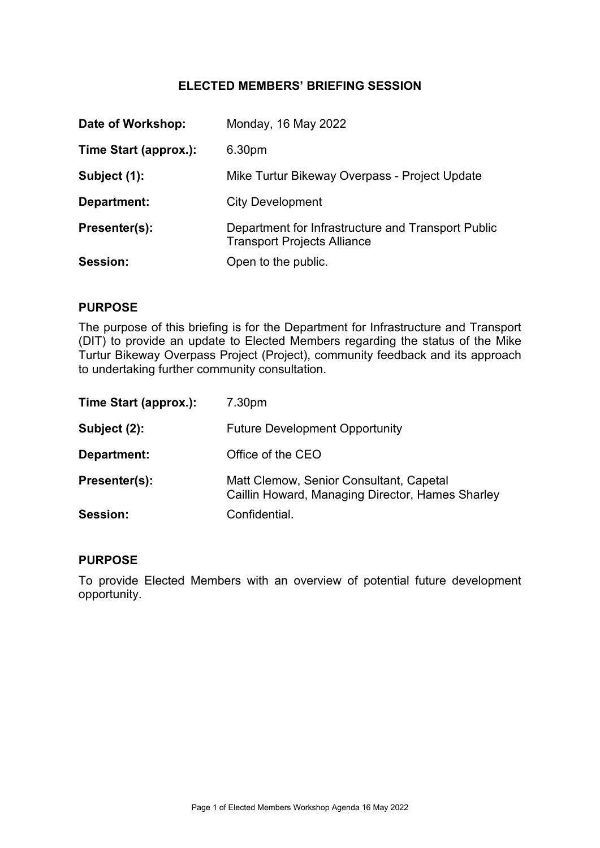# **ELECTED MEMBERS' BRIEFING SESSION**

| Time Start (approx.):<br>6.30pm<br>Mike Turtur Bikeway Overpass - Project Update<br>Subject (1):<br><b>City Development</b><br>Department:<br>Presenter(s):<br><b>Transport Projects Alliance</b><br>Session:<br>Open to the public. | Date of Workshop: | Monday, 16 May 2022                                |
|--------------------------------------------------------------------------------------------------------------------------------------------------------------------------------------------------------------------------------------|-------------------|----------------------------------------------------|
|                                                                                                                                                                                                                                      |                   |                                                    |
|                                                                                                                                                                                                                                      |                   |                                                    |
|                                                                                                                                                                                                                                      |                   |                                                    |
|                                                                                                                                                                                                                                      |                   | Department for Infrastructure and Transport Public |
|                                                                                                                                                                                                                                      |                   |                                                    |

## **PURPOSE**

The purpose of this briefing is for the Department for Infrastructure and Transport (DIT) to provide an update to Elected Members regarding the status of the Mike Turtur Bikeway Overpass Project (Project), community feedback and its approach to undertaking further community consultation.

| Time Start (approx.): | 7.30pm                                                                                      |
|-----------------------|---------------------------------------------------------------------------------------------|
| Subject (2):          | <b>Future Development Opportunity</b>                                                       |
| Department:           | Office of the CEO                                                                           |
| Presenter(s):         | Matt Clemow, Senior Consultant, Capetal<br>Caillin Howard, Managing Director, Hames Sharley |
| Session:              | Confidential.                                                                               |

### **PURPOSE**

To provide Elected Members with an overview of potential future development opportunity.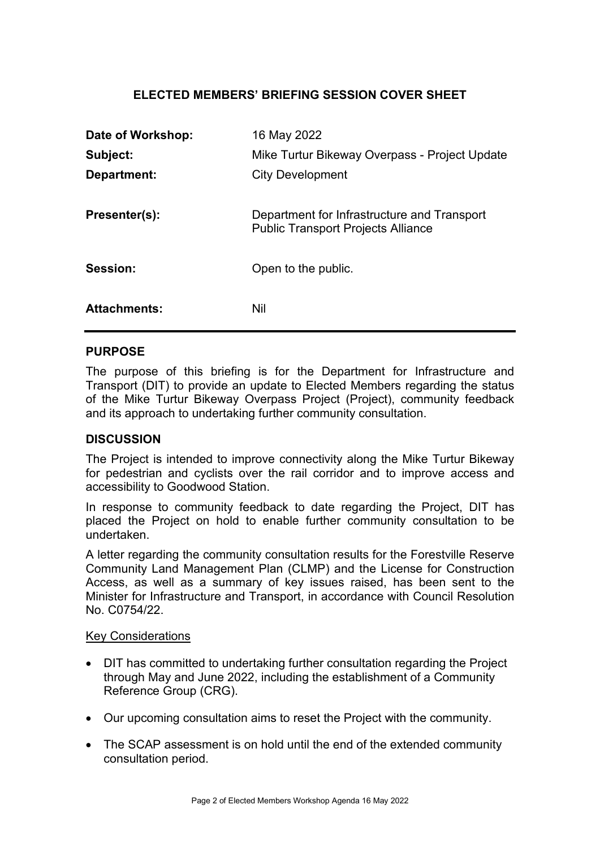# **ELECTED MEMBERS' BRIEFING SESSION COVER SHEET**

| Date of Workshop:   | 16 May 2022                                                                              |
|---------------------|------------------------------------------------------------------------------------------|
| Subject:            | Mike Turtur Bikeway Overpass - Project Update                                            |
| Department:         | <b>City Development</b>                                                                  |
| Presenter(s):       | Department for Infrastructure and Transport<br><b>Public Transport Projects Alliance</b> |
| Session:            | Open to the public.                                                                      |
| <b>Attachments:</b> | Nil                                                                                      |

## **PURPOSE**

The purpose of this briefing is for the Department for Infrastructure and Transport (DIT) to provide an update to Elected Members regarding the status of the Mike Turtur Bikeway Overpass Project (Project), community feedback and its approach to undertaking further community consultation.

### **DISCUSSION**

The Project is intended to improve connectivity along the Mike Turtur Bikeway for pedestrian and cyclists over the rail corridor and to improve access and accessibility to Goodwood Station.

In response to community feedback to date regarding the Project, DIT has placed the Project on hold to enable further community consultation to be undertaken.

A letter regarding the community consultation results for the Forestville Reserve Community Land Management Plan (CLMP) and the License for Construction Access, as well as a summary of key issues raised, has been sent to the Minister for Infrastructure and Transport, in accordance with Council Resolution No. C0754/22.

### Key Considerations

- DIT has committed to undertaking further consultation regarding the Project through May and June 2022, including the establishment of a Community Reference Group (CRG).
- Our upcoming consultation aims to reset the Project with the community.
- The SCAP assessment is on hold until the end of the extended community consultation period.